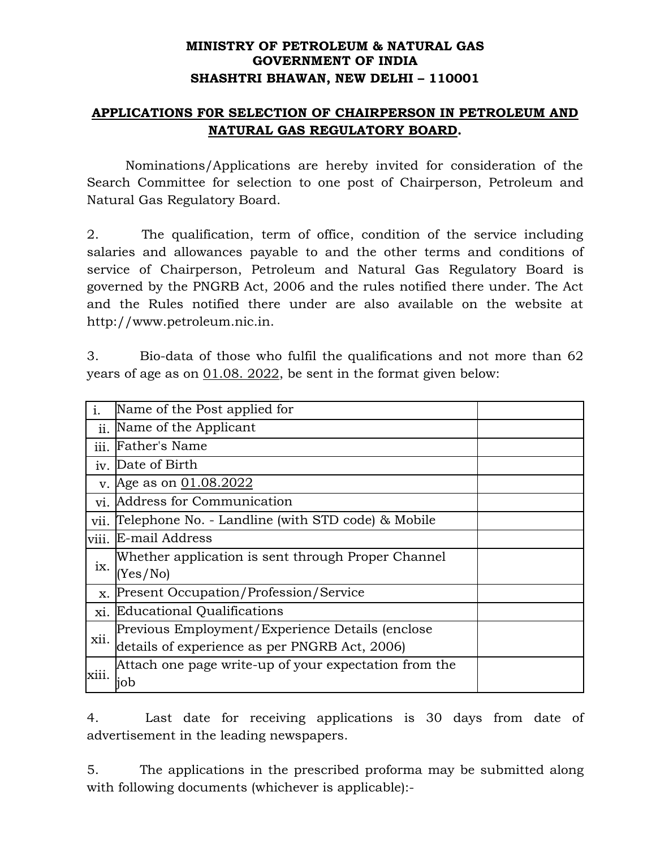## **MINISTRY OF PETROLEUM & NATURAL GAS GOVERNMENT OF INDIA SHASHTRI BHAWAN, NEW DELHI – 110001**

## **APPLICATIONS F0R SELECTION OF CHAIRPERSON IN PETROLEUM AND NATURAL GAS REGULATORY BOARD.**

Nominations/Applications are hereby invited for consideration of the Search Committee for selection to one post of Chairperson, Petroleum and Natural Gas Regulatory Board.

2. The qualification, term of office, condition of the service including salaries and allowances payable to and the other terms and conditions of service of Chairperson, Petroleum and Natural Gas Regulatory Board is governed by the PNGRB Act, 2006 and the rules notified there under. The Act and the Rules notified there under are also available on the website at http://www.petroleum.nic.in.

3. Bio-data of those who fulfil the qualifications and not more than 62 years of age as on  $01.08$ . 2022, be sent in the format given below:

| $\mathbf{i}$ . | Name of the Post applied for                          |  |
|----------------|-------------------------------------------------------|--|
| ii.            | Name of the Applicant                                 |  |
| iii.           | Father's Name                                         |  |
|                | iv. Date of Birth                                     |  |
| $V_{\cdot}$    | Age as on 01.08.2022                                  |  |
| vi.            | Address for Communication                             |  |
| vii.           | Telephone No. - Landline (with STD code) & Mobile     |  |
| viii.          | E-mail Address                                        |  |
| ix.            | Whether application is sent through Proper Channel    |  |
|                | (Yes/No)                                              |  |
| X.             | <b>Present Occupation/Profession/Service</b>          |  |
| xi.            | Educational Qualifications                            |  |
| xii.           | Previous Employment/Experience Details (enclose       |  |
|                | details of experience as per PNGRB Act, 2006)         |  |
| xiii.          | Attach one page write-up of your expectation from the |  |
|                | iob                                                   |  |

4. Last date for receiving applications is 30 days from date of advertisement in the leading newspapers.

5. The applications in the prescribed proforma may be submitted along with following documents (whichever is applicable):-